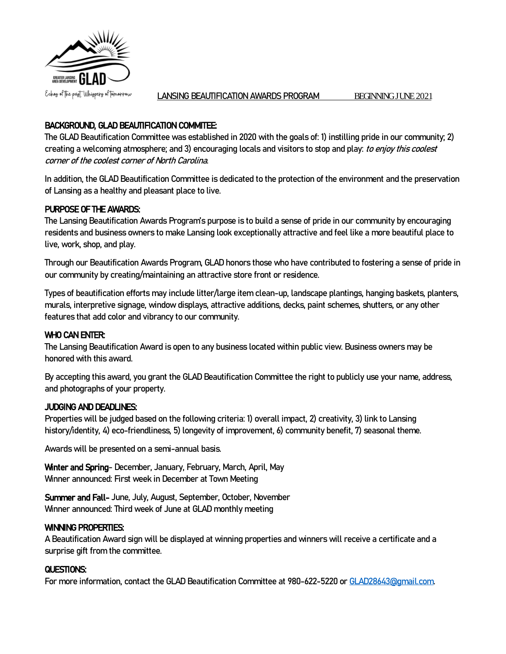

LANSING BEAUTIFICATION AWARDS PROGRAM BEGINNING JUNE 2021

# BACKGROUND, GLAD BEAUTIFICATION COMMITEE:

The GLAD Beautification Committee was established in 2020 with the goals of: 1) instilling pride in our community; 2) creating a welcoming atmosphere; and 3) encouraging locals and visitors to stop and play: to enjoy this coolest corner of the coolest corner of North Carolina.

In addition, the GLAD Beautification Committee is dedicated to the protection of the environment and the preservation of Lansing as a healthy and pleasant place to live.

# PURPOSE OF THE AWARDS:

The Lansing Beautification Awards Program's purpose is to build a sense of pride in our community by encouraging residents and business owners to make Lansing look exceptionally attractive and feel like a more beautiful place to live, work, shop, and play.

Through our Beautification Awards Program, GLAD honors those who have contributed to fostering a sense of pride in our community by creating/maintaining an attractive store front or residence.

Types of beautification efforts may include litter/large itemclean-up, landscape plantings, hanging baskets, planters, murals, interpretive signage, window displays, attractive additions, decks, paint schemes, shutters, or any other features that add color and vibrancy to our community.

## WHO CAN ENTER:

The Lansing Beautification Award is open to any business located within public view. Business owners may be honored with this award.

By accepting this award, you grant the GLAD Beautification Committee the right to publicly use your name, address, and photographs of your property.

## JUDGING AND DEADLINES:

Propertieswill be judged based on the following criteria: 1) overall impact, 2) creativity, 3) link to Lansing history/identity, 4) eco-friendliness, 5) longevity of improvement, 6) community benefit, 7) seasonal theme.

Awards will be presented on a semi-annual basis.

Winter and Spring- December, January, February, March, April, May Winner announced: First week in December at Town Meeting

Summer and Fall- June, July, August, September, October, November Winner announced: Third week of June at GLAD monthly meeting

## WINNING PROPERTIES:

A Beautification Award sign will be displayed at winning properties and winners will receive a certificate and a surprise gift from the committee.

## QUESTIONS:

For more information, contact the GLAD Beautification Committee at 980-622-5220 o[r GLAD28643@gmail.com.](mailto:GLAD28643@gmail.com)